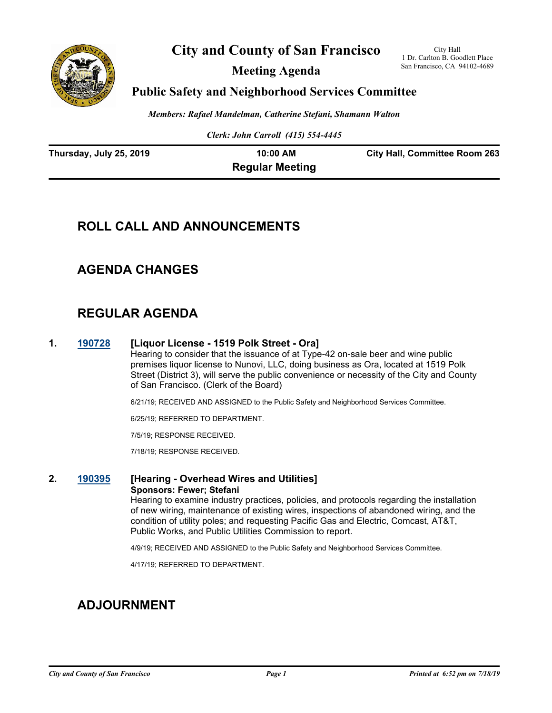

**City and County of San Francisco**

**Meeting Agenda**

City Hall 1 Dr. Carlton B. Goodlett Place San Francisco, CA 94102-4689

### **Public Safety and Neighborhood Services Committee**

*Members: Rafael Mandelman, Catherine Stefani, Shamann Walton*

*Clerk: John Carroll (415) 554-4445*

| Thursday, July 25, 2019 | 10:00 AM               | <b>City Hall, Committee Room 263</b> |
|-------------------------|------------------------|--------------------------------------|
|                         | <b>Regular Meeting</b> |                                      |

# **ROLL CALL AND ANNOUNCEMENTS**

## **AGENDA CHANGES**

# **REGULAR AGENDA**

#### **1. [190728](http://sfgov.legistar.com/gateway.aspx?m=l&id=34850) [Liquor License - 1519 Polk Street - Ora]**

Hearing to consider that the issuance of at Type-42 on-sale beer and wine public premises liquor license to Nunovi, LLC, doing business as Ora, located at 1519 Polk Street (District 3), will serve the public convenience or necessity of the City and County of San Francisco. (Clerk of the Board)

6/21/19; RECEIVED AND ASSIGNED to the Public Safety and Neighborhood Services Committee.

6/25/19; REFERRED TO DEPARTMENT.

7/5/19; RESPONSE RECEIVED.

7/18/19; RESPONSE RECEIVED.

### **2. [190395](http://sfgov.legistar.com/gateway.aspx?m=l&id=34516) [Hearing - Overhead Wires and Utilities] Sponsors: Fewer; Stefani**

Hearing to examine industry practices, policies, and protocols regarding the installation of new wiring, maintenance of existing wires, inspections of abandoned wiring, and the condition of utility poles; and requesting Pacific Gas and Electric, Comcast, AT&T, Public Works, and Public Utilities Commission to report.

4/9/19; RECEIVED AND ASSIGNED to the Public Safety and Neighborhood Services Committee.

4/17/19; REFERRED TO DEPARTMENT.

# **ADJOURNMENT**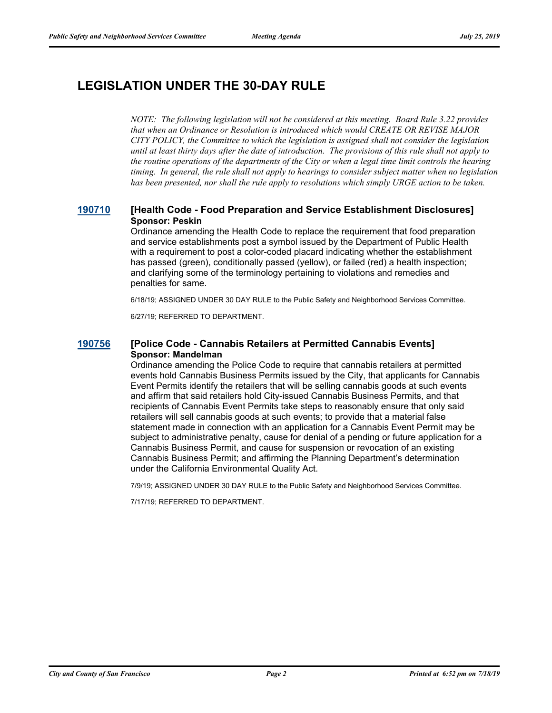# **LEGISLATION UNDER THE 30-DAY RULE**

*NOTE: The following legislation will not be considered at this meeting. Board Rule 3.22 provides that when an Ordinance or Resolution is introduced which would CREATE OR REVISE MAJOR CITY POLICY, the Committee to which the legislation is assigned shall not consider the legislation until at least thirty days after the date of introduction. The provisions of this rule shall not apply to the routine operations of the departments of the City or when a legal time limit controls the hearing timing. In general, the rule shall not apply to hearings to consider subject matter when no legislation has been presented, nor shall the rule apply to resolutions which simply URGE action to be taken.*

#### **[190710](http://sfgov.legistar.com/gateway.aspx?m=l&id=34832) [Health Code - Food Preparation and Service Establishment Disclosures] Sponsor: Peskin**

Ordinance amending the Health Code to replace the requirement that food preparation and service establishments post a symbol issued by the Department of Public Health with a requirement to post a color-coded placard indicating whether the establishment has passed (green), conditionally passed (yellow), or failed (red) a health inspection; and clarifying some of the terminology pertaining to violations and remedies and penalties for same.

6/18/19; ASSIGNED UNDER 30 DAY RULE to the Public Safety and Neighborhood Services Committee.

6/27/19; REFERRED TO DEPARTMENT.

#### **[190756](http://sfgov.legistar.com/gateway.aspx?m=l&id=34878) [Police Code - Cannabis Retailers at Permitted Cannabis Events] Sponsor: Mandelman**

Ordinance amending the Police Code to require that cannabis retailers at permitted events hold Cannabis Business Permits issued by the City, that applicants for Cannabis Event Permits identify the retailers that will be selling cannabis goods at such events and affirm that said retailers hold City-issued Cannabis Business Permits, and that recipients of Cannabis Event Permits take steps to reasonably ensure that only said retailers will sell cannabis goods at such events; to provide that a material false statement made in connection with an application for a Cannabis Event Permit may be subject to administrative penalty, cause for denial of a pending or future application for a Cannabis Business Permit, and cause for suspension or revocation of an existing Cannabis Business Permit; and affirming the Planning Department's determination under the California Environmental Quality Act.

7/9/19; ASSIGNED UNDER 30 DAY RULE to the Public Safety and Neighborhood Services Committee.

7/17/19; REFERRED TO DEPARTMENT.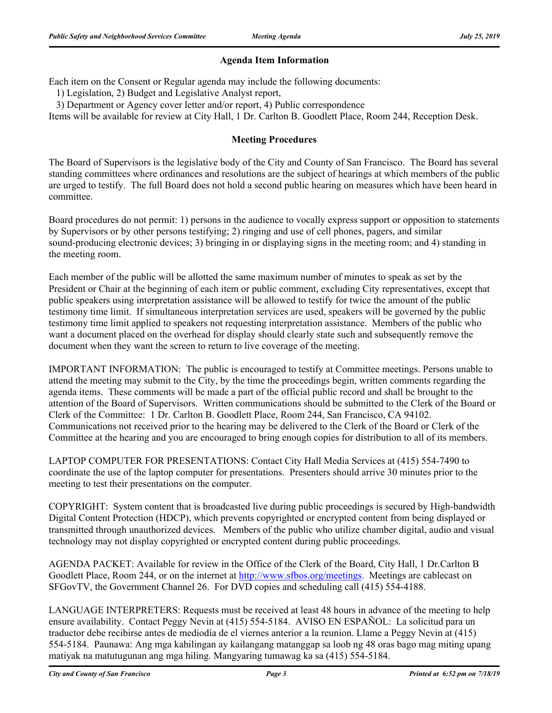### **Agenda Item Information**

Each item on the Consent or Regular agenda may include the following documents:

1) Legislation, 2) Budget and Legislative Analyst report,

3) Department or Agency cover letter and/or report, 4) Public correspondence

Items will be available for review at City Hall, 1 Dr. Carlton B. Goodlett Place, Room 244, Reception Desk.

### **Meeting Procedures**

The Board of Supervisors is the legislative body of the City and County of San Francisco. The Board has several standing committees where ordinances and resolutions are the subject of hearings at which members of the public are urged to testify. The full Board does not hold a second public hearing on measures which have been heard in committee.

Board procedures do not permit: 1) persons in the audience to vocally express support or opposition to statements by Supervisors or by other persons testifying; 2) ringing and use of cell phones, pagers, and similar sound-producing electronic devices; 3) bringing in or displaying signs in the meeting room; and 4) standing in the meeting room.

Each member of the public will be allotted the same maximum number of minutes to speak as set by the President or Chair at the beginning of each item or public comment, excluding City representatives, except that public speakers using interpretation assistance will be allowed to testify for twice the amount of the public testimony time limit. If simultaneous interpretation services are used, speakers will be governed by the public testimony time limit applied to speakers not requesting interpretation assistance. Members of the public who want a document placed on the overhead for display should clearly state such and subsequently remove the document when they want the screen to return to live coverage of the meeting.

IMPORTANT INFORMATION: The public is encouraged to testify at Committee meetings. Persons unable to attend the meeting may submit to the City, by the time the proceedings begin, written comments regarding the agenda items. These comments will be made a part of the official public record and shall be brought to the attention of the Board of Supervisors. Written communications should be submitted to the Clerk of the Board or Clerk of the Committee: 1 Dr. Carlton B. Goodlett Place, Room 244, San Francisco, CA 94102. Communications not received prior to the hearing may be delivered to the Clerk of the Board or Clerk of the Committee at the hearing and you are encouraged to bring enough copies for distribution to all of its members.

LAPTOP COMPUTER FOR PRESENTATIONS: Contact City Hall Media Services at (415) 554-7490 to coordinate the use of the laptop computer for presentations. Presenters should arrive 30 minutes prior to the meeting to test their presentations on the computer.

COPYRIGHT: System content that is broadcasted live during public proceedings is secured by High-bandwidth Digital Content Protection (HDCP), which prevents copyrighted or encrypted content from being displayed or transmitted through unauthorized devices. Members of the public who utilize chamber digital, audio and visual technology may not display copyrighted or encrypted content during public proceedings.

AGENDA PACKET: Available for review in the Office of the Clerk of the Board, City Hall, 1 Dr.Carlton B Goodlett Place, Room 244, or on the internet at http://www.sfbos.org/meetings. Meetings are cablecast on SFGovTV, the Government Channel 26. For DVD copies and scheduling call (415) 554-4188.

LANGUAGE INTERPRETERS: Requests must be received at least 48 hours in advance of the meeting to help ensure availability. Contact Peggy Nevin at (415) 554-5184. AVISO EN ESPAÑOL: La solicitud para un traductor debe recibirse antes de mediodía de el viernes anterior a la reunion. Llame a Peggy Nevin at (415) 554-5184. Paunawa: Ang mga kahilingan ay kailangang matanggap sa loob ng 48 oras bago mag miting upang matiyak na matutugunan ang mga hiling. Mangyaring tumawag ka sa (415) 554-5184.